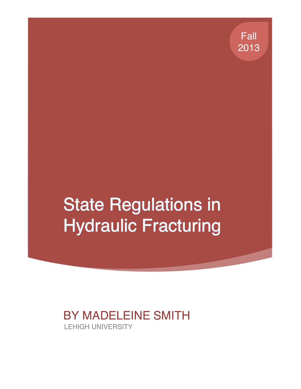Fall 2013

# **State Regulations in Hydraulic Fracturing**

## BY MADELEINE SMITH LEHIGH UNIVERSITY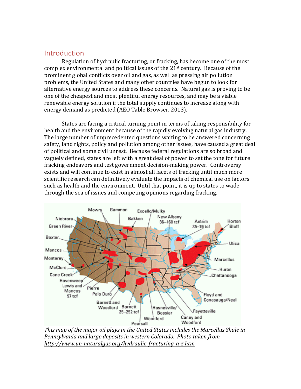#### **Introduction**

Regulation of hydraulic fracturing, or fracking, has become one of the most complex environmental and political issues of the  $21<sup>st</sup>$  century. Because of the prominent global conflicts over oil and gas, as well as pressing air pollution problems, the United States and many other countries have begun to look for alternative energy sources to address these concerns. Natural gas is proving to be one of the cheapest and most plentiful energy resources, and may be a viable renewable energy solution if the total supply continues to increase along with energy demand as predicted (AEO Table Browser, 2013).

States are facing a critical turning point in terms of taking responsibility for health and the environment because of the rapidly evolving natural gas industry. The large number of unprecedented questions waiting to be answered concerning safety, land rights, policy and pollution among other issues, have caused a great deal of political and some civil unrest. Because federal regulations are so broad and vaguely defined, states are left with a great deal of power to set the tone for future fracking endeavors and test government decision-making power. Controversy exists and will continue to exist in almost all facets of fracking until much more scientific research can definitively evaluate the impacts of chemical use on factors such as health and the environment. Until that point, it is up to states to wade through the sea of issues and competing opinions regarding fracking.



*This* map of the major oil plays in the United States includes the Marcellus Shale in *Pennsylvania and large deposits in western Colorado. Photo taken from http://www.un-naturalgas.org/hydraulic\_fracturing\_a-z.htm*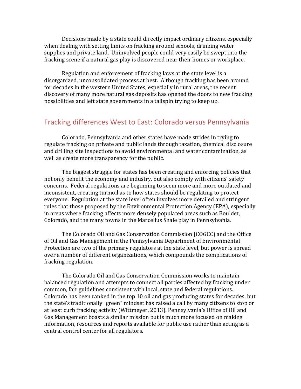Decisions made by a state could directly impact ordinary citizens, especially when dealing with setting limits on fracking around schools, drinking water supplies and private land. Uninvolved people could very easily be swept into the fracking scene if a natural gas play is discovered near their homes or workplace.

Regulation and enforcement of fracking laws at the state level is a disorganized, unconsolidated process at best. Although fracking has been around for decades in the western United States, especially in rural areas, the recent discovery of many more natural gas deposits has opened the doors to new fracking possibilities and left state governments in a tailspin trying to keep up.

#### Fracking differences West to East: Colorado versus Pennsylvania

Colorado, Pennsylvania and other states have made strides in trying to regulate fracking on private and public lands through taxation, chemical disclosure and drilling site inspections to avoid environmental and water contamination, as well as create more transparency for the public.

The biggest struggle for states has been creating and enforcing policies that not only benefit the economy and industry, but also comply with citizens' safety concerns. Federal regulations are beginning to seem more and more outdated and inconsistent, creating turmoil as to how states should be regulating to protect everyone. Regulation at the state level often involves more detailed and stringent rules that those proposed by the Environmental Protection Agency (EPA), especially in areas where fracking affects more densely populated areas such as Boulder, Colorado, and the many towns in the Marcellus Shale play in Pennsylvania.

The Colorado Oil and Gas Conservation Commission (COGCC) and the Office of Oil and Gas Management in the Pennsylvania Department of Environmental Protection are two of the primary regulators at the state level, but power is spread over a number of different organizations, which compounds the complications of fracking regulation.

The Colorado Oil and Gas Conservation Commission works to maintain balanced regulation and attempts to connect all parties affected by fracking under common, fair guidelines consistent with local, state and federal regulations. Colorado has been ranked in the top 10 oil and gas producing states for decades, but the state's traditionally "green" mindset has raised a call by many citizens to stop or at least curb fracking activity (Wittmeyer, 2013). Pennsylvania's Office of Oil and Gas Management boasts a similar mission but is much more focused on making information, resources and reports available for public use rather than acting as a central control center for all regulators.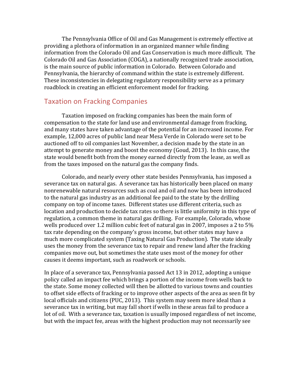The Pennsylvania Office of Oil and Gas Management is extremely effective at providing a plethora of information in an organized manner while finding information from the Colorado Oil and Gas Conservation is much more difficult. The Colorado Oil and Gas Association (COGA), a nationally recognized trade association, is the main source of public information in Colorado. Between Colorado and Pennsylvania, the hierarchy of command within the state is extremely different. These inconsistencies in delegating regulatory responsibility serve as a primary roadblock in creating an efficient enforcement model for fracking.

#### **Taxation on Fracking Companies**

Taxation imposed on fracking companies has been the main form of compensation to the state for land use and environmental damage from fracking, and many states have taken advantage of the potential for an increased income. For example, 12,000 acres of public land near Mesa Verde in Colorado were set to be auctioned off to oil companies last November, a decision made by the state in an attempt to generate money and boost the economy (Goud, 2013). In this case, the state would benefit both from the money earned directly from the lease, as well as from the taxes imposed on the natural gas the company finds.

Colorado, and nearly every other state besides Pennsylvania, has imposed a severance tax on natural gas. A severance tax has historically been placed on many nonrenewable natural resources such as coal and oil and now has been introduced to the natural gas industry as an additional fee paid to the state by the drilling company on top of income taxes. Different states use different criteria, such as location and production to decide tax rates so there is little uniformity in this type of regulation, a common theme in natural gas drilling. For example, Colorado, whose wells produced over 1.2 million cubic feet of natural gas in 2007, imposes a 2 to 5% tax rate depending on the company's gross income, but other states may have a much more complicated system (Taxing Natural Gas Production). The state ideally uses the money from the severance tax to repair and renew land after the fracking companies move out, but sometimes the state uses most of the money for other causes it deems important, such as roadwork or schools.

In place of a severance tax, Pennsylvania passed Act 13 in 2012, adopting a unique policy called an impact fee which brings a portion of the income from wells back to the state. Some money collected will then be allotted to various towns and counties to offset side effects of fracking or to improve other aspects of the area as seen fit by local officials and citizens (PUC, 2013). This system may seem more ideal than a severance tax in writing, but may fall short if wells in these areas fail to produce a lot of oil. With a severance tax, taxation is usually imposed regardless of net income, but with the impact fee, areas with the highest production may not necessarily see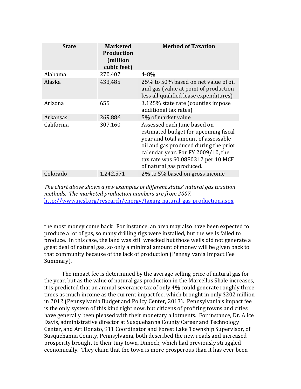| <b>State</b> | <b>Marketed</b><br><b>Production</b><br>(million<br>cubic feet) | <b>Method of Taxation</b>                                                                                                                                                                                                                                    |
|--------------|-----------------------------------------------------------------|--------------------------------------------------------------------------------------------------------------------------------------------------------------------------------------------------------------------------------------------------------------|
| Alabama      | 270,407                                                         | $4 - 8\%$                                                                                                                                                                                                                                                    |
| Alaska       | 433,485                                                         | 25% to 50% based on net value of oil<br>and gas (value at point of production<br>less all qualified lease expenditures)                                                                                                                                      |
| Arizona      | 655                                                             | 3.125% state rate (counties impose<br>additional tax rates)                                                                                                                                                                                                  |
| Arkansas     | 269,886                                                         | 5% of market value                                                                                                                                                                                                                                           |
| California   | 307,160                                                         | Assessed each June based on<br>estimated budget for upcoming fiscal<br>year and total amount of assessable<br>oil and gas produced during the prior<br>calendar year. For FY 2009/10, the<br>tax rate was \$0.0880312 per 10 MCF<br>of natural gas produced. |
| Colorado     | 1,242,571                                                       | 2% to 5% based on gross income                                                                                                                                                                                                                               |

*The chart above shows a few examples of different states' natural gas taxation* methods. The marketed production numbers are from 2007. http://www.ncsl.org/research/energy/taxing-natural-gas-production.aspx

the most money come back. For instance, an area may also have been expected to produce a lot of gas, so many drilling rigs were installed, but the wells failed to produce. In this case, the land was still wrecked but those wells did not generate a great deal of natural gas, so only a minimal amount of money will be given back to that community because of the lack of production (Pennsylvania Impact Fee Summary). 

The impact fee is determined by the average selling price of natural gas for the year, but as the value of natural gas production in the Marcellus Shale increases, it is predicted that an annual severance tax of only  $4\%$  could generate roughly three times as much income as the current impact fee, which brought in only \$202 million in 2012 (Pennsylvania Budget and Policy Center, 2013). Pennsylvania's impact fee is the only system of this kind right now, but citizens of profiting towns and cities have generally been pleased with their monetary allotments. For instance, Dr. Alice Davis, administrative director at Susquehanna County Career and Technology Center, and Art Donato, 911 Coordinator and Forest Lake Township Supervisor, of Susquehanna County, Pennsylvania, both described the new roads and increased prosperity brought to their tiny town, Dimock, which had previously struggled economically. They claim that the town is more prosperous than it has ever been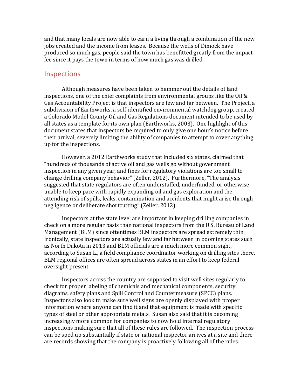and that many locals are now able to earn a living through a combination of the new jobs created and the income from leases. Because the wells of Dimock have produced so much gas, people said the town has benefitted greatly from the impact fee since it pays the town in terms of how much gas was drilled.

#### **Inspections**

Although measures have been taken to hammer out the details of land inspections, one of the chief complaints from environmental groups like the Oil  $\&$ Gas Accountability Project is that inspectors are few and far between. The Project, a subdivision of Earthworks, a self-identified environmental watchdog group, created a Colorado Model County Oil and Gas Regulations document intended to be used by all states as a template for its own plan (Earthworks, 2003). One highlight of this document states that inspectors be required to only give one hour's notice before their arrival, severely limiting the ability of companies to attempt to cover anything up for the inspections.

However, a 2012 Earthworks study that included six states, claimed that "hundreds of thousands of active oil and gas wells go without government inspection in any given year, and fines for regulatory violations are too small to change drilling company behavior" (Zeller, 2012). Furthermore, "The analysis suggested that state regulators are often understaffed, underfunded, or otherwise unable to keep pace with rapidly expanding oil and gas exploration and the attending risk of spills, leaks, contamination and accidents that might arise through negligence or deliberate shortcutting" (Zeller, 2012).

Inspectors at the state level are important in keeping drilling companies in check on a more regular basis than national inspectors from the U.S. Bureau of Land Management (BLM) since oftentimes BLM inspectors are spread extremely thin. Ironically, state inspectors are actually few and far between in booming states such as North Dakota in 2013 and BLM officials are a much more common sight, according to Susan L., a field compliance coordinator working on drilling sites there. BLM regional offices are often spread across states in an effort to keep federal oversight present.

Inspectors across the country are supposed to visit well sites regularly to check for proper labeling of chemicals and mechanical components, security diagrams, safety plans and Spill Control and Countermeasure (SPCC) plans. Inspectors also look to make sure well signs are openly displayed with proper information where anyone can find it and that equipment is made with specific types of steel or other appropriate metals. Susan also said that it is becoming increasingly more common for companies to now hold internal regulatory inspections making sure that all of these rules are followed. The inspection process can be sped up substantially if state or national inspector arrives at a site and there are records showing that the company is proactively following all of the rules.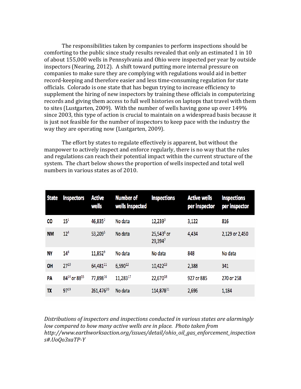The responsibilities taken by companies to perform inspections should be comforting to the public since study results revealed that only an estimated 1 in 10 of about 155,000 wells in Pennsylvania and Ohio were inspected per year by outside inspectors (Nearing, 2012). A shift toward putting more internal pressure on companies to make sure they are complying with regulations would aid in better record-keeping and therefore easier and less time-consuming regulation for state officials. Colorado is one state that has begun trying to increase efficiency to supplement the hiring of new inspectors by training these officials in computerizing records and giving them access to full well histories on laptops that travel with them to sites (Lustgarten, 2009). With the number of wells having gone up over  $149\%$ since 2003, this type of action is crucial to maintain on a widespread basis because it is just not feasible for the number of inspectors to keep pace with the industry the way they are operating now (Lustgarten, 2009).

The effort by states to regulate effectively is apparent, but without the manpower to actively inspect and enforce regularly, there is no way that the rules and regulations can reach their potential impact within the current structure of the system. The chart below shows the proportion of wells inspected and total well numbers in various states as of 2010.

| <b>State</b> | <b>Inspectors</b>                    | <b>Active</b><br>wells | <b>Number of</b><br>wells inspected | <b>Inspections</b>       | <b>Active wells</b><br>per inspector | <b>Inspections</b><br>per inspector |
|--------------|--------------------------------------|------------------------|-------------------------------------|--------------------------|--------------------------------------|-------------------------------------|
| CO           | 15 <sup>1</sup>                      | 46,835 <sup>2</sup>    | No data                             | $12,239^3$               | 3,122                                | 816                                 |
| <b>NM</b>    | 12 <sup>4</sup>                      | 53,2095                | No data                             | $25,543^6$ or<br>29,3947 | 4,434                                | 2,129 or 2,450                      |
| <b>NY</b>    | $14^{8}$                             | 11,852 <sup>9</sup>    | No data                             | No data                  | 848                                  | No data                             |
| OH           | $27^{10}$                            | 64,48111               | 6,59012                             | $10,422^{13}$            | 2,388                                | 341                                 |
| PA           | 84 <sup>14</sup> or 88 <sup>15</sup> | 77,89816               | 11,28317                            | 22,67018                 | 927 or 885                           | 270 or 258                          |
| <b>TX</b>    | $97^{19}$                            | 261,47620              | No data                             | 114,878 <sup>21</sup>    | 2,696                                | 1,184                               |

Distributions of inspectors and inspections conducted in various states are alarmingly *low compared to how many active wells are in place. Photo taken from http://www.earthworksaction.org/issues/detail/ohio\_oil\_gas\_enforcement\_inspection s#.UoQo3xaTP-Y*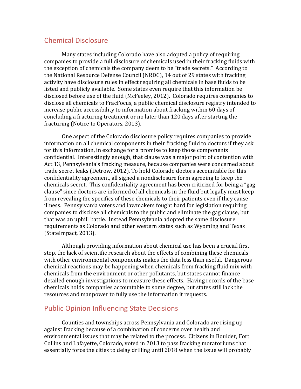#### Chemical Disclosure

Many states including Colorado have also adopted a policy of requiring companies to provide a full disclosure of chemicals used in their fracking fluids with the exception of chemicals the company deem to be "trade secrets." According to the National Resource Defense Council (NRDC), 14 out of 29 states with fracking activity have disclosure rules in effect requiring all chemicals in base fluids to be listed and publicly available. Some states even require that this information be disclosed before use of the fluid (McFeeley, 2012). Colorado requires companies to disclose all chemicals to FracFocus, a public chemical disclosure registry intended to increase public accessibility to information about fracking within 60 days of concluding a fracturing treatment or no later than 120 days after starting the fracturing (Notice to Operators, 2013).

One aspect of the Colorado disclosure policy requires companies to provide information on all chemical components in their fracking fluid to doctors if they ask for this information, in exchange for a promise to keep those components confidential. Interestingly enough, that clause was a major point of contention with Act 13, Pennsylvania's fracking measure, because companies were concerned about trade secret leaks (Detrow, 2012). To hold Colorado doctors accountable for this confidentiality agreement, all signed a nondisclosure form agreeing to keep the chemicals secret. This confidentiality agreement has been criticized for being a "gag clause" since doctors are informed of all chemicals in the fluid but legally must keep from revealing the specifics of these chemicals to their patients even if they cause illness. Pennsylvania voters and lawmakers fought hard for legislation requiring companies to disclose all chemicals to the public and eliminate the gag clause, but that was an uphill battle. Instead Pennsylvania adopted the same disclosure requirements as Colorado and other western states such as Wyoming and Texas (StateImpact, 2013).

Although providing information about chemical use has been a crucial first step, the lack of scientific research about the effects of combining these chemicals with other environmental components makes the data less than useful. Dangerous chemical reactions may be happening when chemicals from fracking fluid mix with chemicals from the environment or other pollutants, but states cannot finance detailed enough investigations to measure these effects. Having records of the base chemicals holds companies accountable to some degree, but states still lack the resources and manpower to fully use the information it requests.

#### Public Opinion Influencing State Decisions

Counties and townships across Pennsylvania and Colorado are rising up against fracking because of a combination of concerns over health and environmental issues that may be related to the process. Citizens in Boulder, Fort Collins and Lafayette, Colorado, voted in 2013 to pass fracking moratoriums that essentially force the cities to delay drilling until 2018 when the issue will probably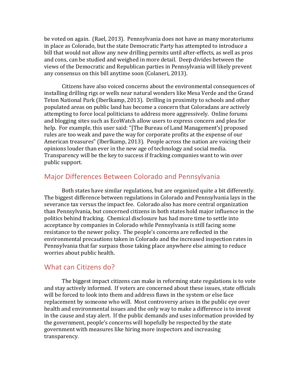be voted on again. (Rael, 2013). Pennsylvania does not have as many moratoriums in place as Colorado, but the state Democratic Party has attempted to introduce a bill that would not allow any new drilling permits until after-effects, as well as pros and cons, can be studied and weighed in more detail. Deep divides between the views of the Democratic and Republican parties in Pennsylvania will likely prevent any consensus on this bill anytime soon (Colaneri, 2013).

Citizens have also voiced concerns about the environmental consequences of installing drilling rigs or wells near natural wonders like Mesa Verde and the Grand Teton National Park (Iberlkamp, 2013). Drilling in proximity to schools and other populated areas on public land has become a concern that Coloradans are actively attempting to force local politicians to address more aggressively. Online forums and blogging sites such as EcoWatch allow users to express concern and plea for help. For example, this user said: "[The Bureau of Land Management's] proposed rules are too weak and pave the way for corporate profits at the expense of our American treasures" (lberlkamp, 2013). People across the nation are voicing their opinions louder than ever in the new age of technology and social media. Transparency will be the key to success if fracking companies want to win over public support.

#### Major Differences Between Colorado and Pennsylvania

Both states have similar regulations, but are organized quite a bit differently. The biggest difference between regulations in Colorado and Pennsylvania lays in the severance tax versus the impact fee. Colorado also has more central organization than Pennsylvania, but concerned citizens in both states hold major influence in the politics behind fracking. Chemical disclosure has had more time to settle into acceptance by companies in Colorado while Pennsylvania is still facing some resistance to the newer policy. The people's concerns are reflected in the environmental precautions taken in Colorado and the increased inspection rates in Pennsylvania that far surpass those taking place anywhere else aiming to reduce worries about public health.

#### What can Citizens do?

The biggest impact citizens can make in reforming state regulations is to vote and stay actively informed. If voters are concerned about these issues, state officials will be forced to look into them and address flaws in the system or else face replacement by someone who will. Most controversy arises in the public eye over health and environmental issues and the only way to make a difference is to invest in the cause and stay alert. If the public demands and uses information provided by the government, people's concerns will hopefully be respected by the state government with measures like hiring more inspectors and increasing transparency.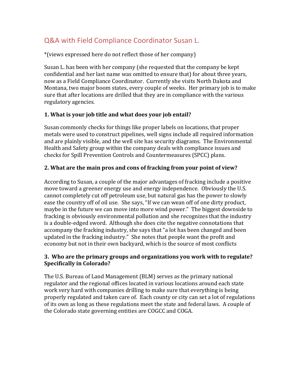## Q&A with Field Compliance Coordinator Susan L.

\*(views expressed here do not reflect those of her company)

Susan L. has been with her company (she requested that the company be kept confidential and her last name was omitted to ensure that) for about three years, now as a Field Compliance Coordinator. Currently she visits North Dakota and Montana, two major boom states, every couple of weeks. Her primary job is to make sure that after locations are drilled that they are in compliance with the various regulatory agencies.

#### **1.** What is your job title and what does your job entail?

Susan commonly checks for things like proper labels on locations, that proper metals were used to construct pipelines, well signs include all required information and are plainly visible, and the well site has security diagrams. The Environmental Health and Safety group within the company deals with compliance issues and checks for Spill Prevention Controls and Countermeasures (SPCC) plans.

#### **2.** What are the main pros and cons of fracking from your point of view?

According to Susan, a couple of the major advantages of fracking include a positive move toward a greener energy use and energy independence. Obviously the U.S. cannot completely cut off petroleum use, but natural gas has the power to slowly ease the country off of oil use. She says, "If we can wean off of one dirty product, maybe in the future we can move into more wind power." The biggest downside to fracking is obviously environmental pollution and she recognizes that the industry is a double-edged sword. Although she does cite the negative connotations that accompany the fracking industry, she says that "a lot has been changed and been updated in the fracking industry." She notes that people want the profit and economy but not in their own backyard, which is the source of most conflicts

#### **3. Who are the primary groups and organizations you work with to regulate? Specifically in Colorado?**

The U.S. Bureau of Land Management (BLM) serves as the primary national regulator and the regional offices located in various locations around each state work very hard with companies drilling to make sure that everything is being properly regulated and taken care of. Each county or city can set a lot of regulations of its own as long as these regulations meet the state and federal laws. A couple of the Colorado state governing entities are COGCC and COGA.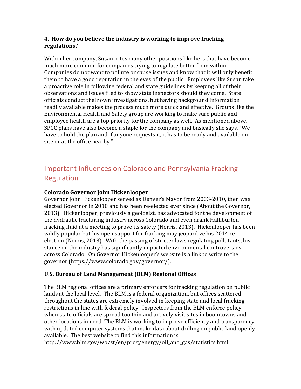#### **4.** How do you believe the industry is working to improve fracking **regulations?**

Within her company, Susan cites many other positions like hers that have become much more common for companies trying to regulate better from within. Companies do not want to pollute or cause issues and know that it will only benefit them to have a good reputation in the eyes of the public. Employees like Susan take a proactive role in following federal and state guidelines by keeping all of their observations and issues filed to show state inspectors should they come. State officials conduct their own investigations, but having background information readily available makes the process much more quick and effective. Groups like the Environmental Health and Safety group are working to make sure public and employee health are a top priority for the company as well. As mentioned above, SPCC plans have also become a staple for the company and basically she says, "We have to hold the plan and if anyone requests it, it has to be ready and available onsite or at the office nearby."

## Important Influences on Colorado and Pennsylvania Fracking Regulation

#### **Colorado Governor John Hickenlooper**

Governor John Hickenlooper served as Denver's Mayor from 2003-2010, then was elected Governor in 2010 and has been re-elected ever since (About the Governor, 2013). Hickenlooper, previously a geologist, has advocated for the development of the hydraulic fracturing industry across Colorado and even drank Halliburton fracking fluid at a meeting to prove its safety (Norris, 2013). Hickenlooper has been wildly popular but his open support for fracking may jeopardize his 2014 reelection (Norris, 2013). With the passing of stricter laws regulating pollutants, his stance on the industry has significantly impacted environmental controversies across Colorado. On Governor Hickenlooper's website is a link to write to the governor (https://www.colorado.gov/governor/).

#### **U.S. Bureau of Land Management (BLM) Regional Offices**

The BLM regional offices are a primary enforcers for fracking regulation on public lands at the local level. The BLM is a federal organization, but offices scattered throughout the states are extremely involved in keeping state and local fracking restrictions in line with federal policy. Inspectors from the BLM enforce policy when state officials are spread too thin and actively visit sites in boomtowns and other locations in need. The BLM is working to improve efficiency and transparency with updated computer systems that make data about drilling on public land openly available. The best website to find this information is http://www.blm.gov/wo/st/en/prog/energy/oil\_and\_gas/statistics.html.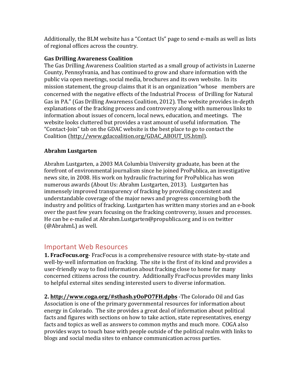Additionally, the BLM website has a "Contact Us" page to send e-mails as well as lists of regional offices across the country.

#### **Gas Drilling Awareness Coalition**

The Gas Drilling Awareness Coalition started as a small group of activists in Luzerne County, Pennsylvania, and has continued to grow and share information with the public via open meetings, social media, brochures and its own website. In its mission statement, the group claims that it is an organization "whose members are concerned with the negative effects of the Industrial Process of Drilling for Natural Gas in PA." (Gas Drilling Awareness Coalition, 2012). The website provides in-depth explanations of the fracking process and controversy along with numerous links to information about issues of concern, local news, education, and meetings. The website looks cluttered but provides a vast amount of useful information. The "Contact-Join" tab on the GDAC website is the best place to go to contact the Coalition (http://www.gdacoalition.org/GDAC\_ABOUT\_US.html). 

#### **Abrahm Lustgarten**

Abrahm Lustgarten, a 2003 MA Columbia University graduate, has been at the forefront of environmental journalism since he joined ProPublica, an investigative news site, in 2008. His work on hydraulic fracturing for ProPublica has won numerous awards (About Us: Abrahm Lustgarten, 2013). Lustgarten has immensely improved transparency of fracking by providing consistent and understandable coverage of the major news and progress concerning both the industry and politics of fracking. Lustgarten has written many stories and an e-book over the past few years focusing on the fracking controversy, issues and processes. He can be e-mailed at Abrahm.Lustgarten@propublica.org and is on twitter  $(QAbranchmL)$  as well.

#### **Important Web Resources**

**1. FracFocus.org**- FracFocus is a comprehensive resource with state-by-state and well-by-well information on fracking. The site is the first of its kind and provides a user-friendly way to find information about fracking close to home for many concerned citizens across the country. Additionally FracFocus provides many links to helpful external sites sending interested users to diverse information.

**2. http://www.coga.org/#sthash.yOoPO7FH.dpbs** -The Colorado Oil and Gas Association is one of the primary governmental resources for information about energy in Colorado. The site provides a great deal of information about political facts and figures with sections on how to take action, state representatives, energy facts and topics as well as answers to common myths and much more. COGA also provides ways to touch base with people outside of the political realm with links to blogs and social media sites to enhance communication across parties.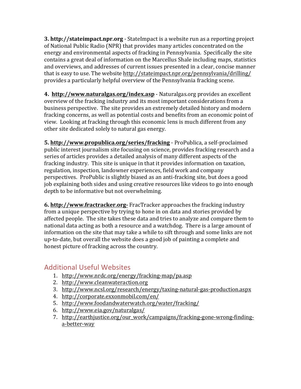**3.** http://stateimpact.npr.org - StateImpact is a website run as a reporting project of National Public Radio (NPR) that provides many articles concentrated on the energy and environmental aspects of fracking in Pennsylvania. Specifically the site contains a great deal of information on the Marcellus Shale including maps, statistics and overviews, and addresses of current issues presented in a clear, concise manner that is easy to use. The website http://stateimpact.npr.org/pennsylvania/drilling/ provides a particularly helpful overview of the Pennsylvania fracking scene.

**4. http://www.naturalgas.org/index.asp** - Naturalgas.org provides an excellent overview of the fracking industry and its most important considerations from a business perspective. The site provides an extremely detailed history and modern fracking concerns, as well as potential costs and benefits from an economic point of view. Looking at fracking through this economic lens is much different from any other site dedicated solely to natural gas energy.

**5.** http://www.propublica.org/series/fracking - ProPublica, a self-proclaimed public interest journalism site focusing on science, provides fracking research and a series of articles provides a detailed analysis of many different aspects of the fracking industry. This site is unique in that it provides information on taxation, regulation, inspection, landowner experiences, field work and company perspectives. ProPublic is slightly biased as an anti-fracking site, but does a good job explaining both sides and using creative resources like videos to go into enough depth to be informative but not overwhelming.

**6. http://www.fractracker.org-** FracTracker approaches the fracking industry from a unique perspective by trying to hone in on data and stories provided by affected people. The site takes these data and tries to analyze and compare them to national data acting as both a resource and a watchdog. There is a large amount of information on the site that may take a while to sift through and some links are not up-to-date, but overall the website does a good job of painting a complete and honest picture of fracking across the country.

## Additional Useful Websites

- 1. http://www.nrdc.org/energy/fracking-map/pa.asp
- 2. http://www.cleanwateraction.org
- 3. http://www.ncsl.org/research/energy/taxing-natural-gas-production.aspx
- 4. http://corporate.exxonmobil.com/en/
- 5. http://www.foodandwaterwatch.org/water/fracking/
- 6. http://www.eia.gov/naturalgas/
- 7. http://earthjustice.org/our\_work/campaigns/fracking-gone-wrong-findinga-better-way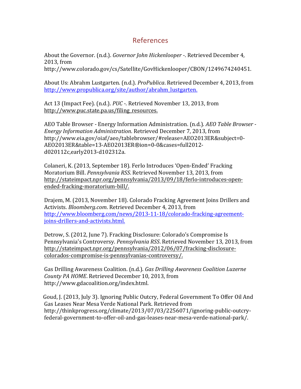## References

About the Governor. (n.d.). *Governor John Hickenlooper* -. Retrieved December 4, 2013, from http://www.colorado.gov/cs/Satellite/GovHickenlooper/CBON/1249674240451.

About Us: Abrahm Lustgarten. (n.d.). *ProPublica*. Retrieved December 4, 2013, from http://www.propublica.org/site/author/abrahm\_lustgarten.

Act 13 (Impact Fee). (n.d.). *PUC* -. Retrieved November 13, 2013, from http://www.puc.state.pa.us/filing\_resources.

AEO Table Browser - Energy Information Administration. (n.d.). *AEO Table Browser* -*Energy Information Administration*. Retrieved December 7, 2013, from http://www.eia.gov/oiaf/aeo/tablebrowser/#release=AEO2013ER&subject=0- AEO2013ER&table=13-AEO2013ER®ion=0-0&cases=full2012 d020112c,early2013-d102312a.

Colaneri, K. (2013, September 18). Ferlo Introduces 'Open-Ended' Fracking Moratorium Bill. *Pennsylvania RSS*. Retrieved November 13, 2013, from http://stateimpact.npr.org/pennsylvania/2013/09/18/ferlo-introduces-openended-fracking-moratorium-bill/.

Drajem, M. (2013, November 18). Colorado Fracking Agreement Joins Drillers and Activists. *Bloomberg.com*. Retrieved December 4, 2013, from http://www.bloomberg.com/news/2013-11-18/colorado-fracking-agreementjoins-drillers-and-activists.html.

Detrow, S. (2012, June 7). Fracking Disclosure: Colorado's Compromise Is Pennsylvania's Controversy. *Pennsylvania RSS*. Retrieved November 13, 2013, from http://stateimpact.npr.org/pennsylvania/2012/06/07/fracking-disclosurecolorados-compromise-is-pennsylvanias-controversy/.

Gas Drilling Awareness Coalition. (n.d.). *Gas Drilling Awareness Coalition Luzerne* County PA HOME. Retrieved December 10, 2013, from http://www.gdacoalition.org/index.html.

Goud, J. (2013, July 3). Ignoring Public Outcry, Federal Government To Offer Oil And Gas Leases Near Mesa Verde National Park. Retrieved from http://thinkprogress.org/climate/2013/07/03/2256071/ignoring-public-outcryfederal-government-to-offer-oil-and-gas-leases-near-mesa-verde-national-park/.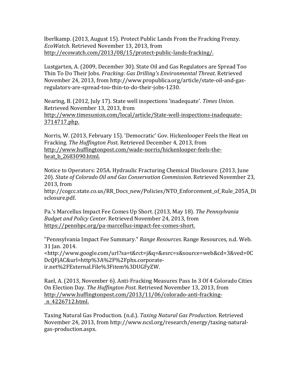lberlkamp. (2013, August 15). Protect Public Lands From the Fracking Frenzy. *EcoWatch*. Retrieved November 13, 2013, from http://ecowatch.com/2013/08/15/protect-public-lands-fracking/.

Lustgarten, A. (2009, December 30). State Oil and Gas Regulators are Spread Too Thin To Do Their Jobs. *Fracking: Gas Drilling's Environmental Threat*. Retrieved November 24, 2013, from http://www.propublica.org/article/state-oil-and-gasregulators-are-spread-too-thin-to-do-their-jobs-1230.

Nearing, B. (2012, July 17). State well inspections 'inadequate'. Times Union. Retrieved November 13, 2013, from http://www.timesunion.com/local/article/State-well-inspections-inadequate-3714717.php.

Norris, W. (2013, February 15). 'Democratic' Gov. Hickenlooper Feels the Heat on Fracking. The Huffington Post. Retrieved December 4, 2013, from http://www.huffingtonpost.com/wade-norris/hickenlooper-feels-theheat\_b\_2683090.html.

Notice to Operators: 205A. Hydraulic Fracturing Chemical Disclosure. (2013, June 20). State of Colorado Oil and Gas Conservation Commission. Retrieved November 23, 2013, from

http://cogcc.state.co.us/RR\_Docs\_new/Policies/NTO\_Enforcement\_of\_Rule\_205A\_Di sclosure.pdf.

Pa.'s Marcellus Impact Fee Comes Up Short. (2013, May 18). *The Pennsylvania Budget and Policy Center.* Retrieved November 24, 2013, from https://pennbpc.org/pa-marcellus-impact-fee-comes-short.

"Pennsylvania Impact Fee Summary." *Range Resources*. Range Resources, n.d. Web. 31 Ian. 2014.

<http://www.google.com/url?sa=t&rct=j&q=&esrc=s&source=web&cd=3&ved=0C DcQFjAC&url=http%3A%2F%2Fphx.corporateir.net%2FExternal.File%3Fitem%3DUGFyZW.

Rael, A. (2013, November 6). Anti-Fracking Measures Pass In 3 Of 4 Colorado Cities On Election Day. *The Huffington Post*. Retrieved November 13, 2013, from http://www.huffingtonpost.com/2013/11/06/colorado-anti-fracking- \_n\_4226712.html.

Taxing Natural Gas Production. (n.d.). *Taxing Natural Gas Production*. Retrieved November 24, 2013, from http://www.ncsl.org/research/energy/taxing-naturalgas-production.aspx.